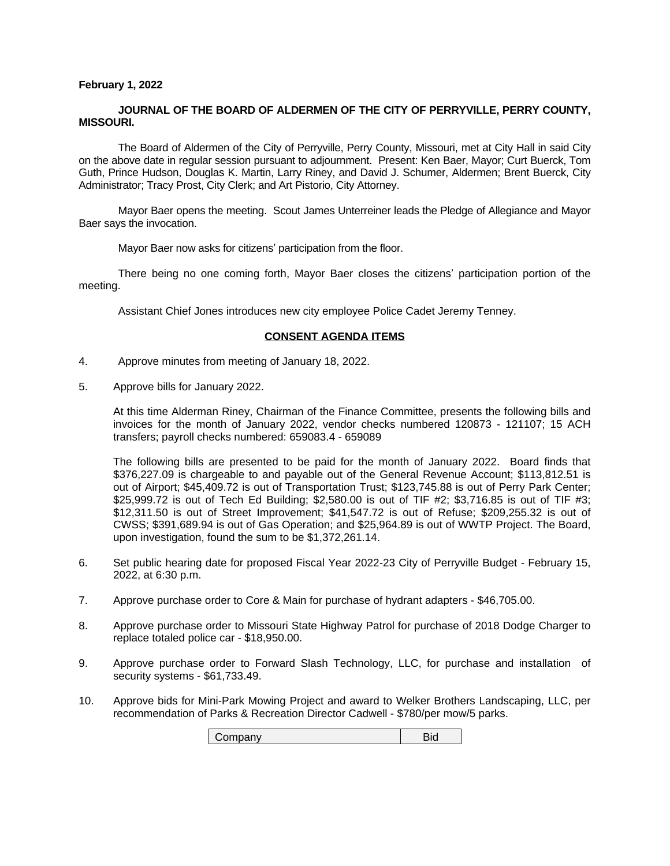# **February 1, 2022**

# **JOURNAL OF THE BOARD OF ALDERMEN OF THE CITY OF PERRYVILLE, PERRY COUNTY, MISSOURI.**

The Board of Aldermen of the City of Perryville, Perry County, Missouri, met at City Hall in said City on the above date in regular session pursuant to adjournment. Present: Ken Baer, Mayor; Curt Buerck, Tom Guth, Prince Hudson, Douglas K. Martin, Larry Riney, and David J. Schumer, Aldermen; Brent Buerck, City Administrator; Tracy Prost, City Clerk; and Art Pistorio, City Attorney.

Mayor Baer opens the meeting. Scout James Unterreiner leads the Pledge of Allegiance and Mayor Baer says the invocation.

Mayor Baer now asks for citizens' participation from the floor.

There being no one coming forth, Mayor Baer closes the citizens' participation portion of the meeting.

Assistant Chief Jones introduces new city employee Police Cadet Jeremy Tenney.

# **CONSENT AGENDA ITEMS**

- 4. Approve minutes from meeting of January 18, 2022.
- 5. Approve bills for January 2022.

At this time Alderman Riney, Chairman of the Finance Committee, presents the following bills and invoices for the month of January 2022, vendor checks numbered 120873 - 121107; 15 ACH transfers; payroll checks numbered: 659083.4 - 659089

The following bills are presented to be paid for the month of January 2022. Board finds that \$376,227.09 is chargeable to and payable out of the General Revenue Account; \$113,812.51 is out of Airport; \$45,409.72 is out of Transportation Trust; \$123,745.88 is out of Perry Park Center; \$25,999.72 is out of Tech Ed Building; \$2,580.00 is out of TIF #2; \$3,716.85 is out of TIF #3; \$12,311.50 is out of Street Improvement; \$41,547.72 is out of Refuse; \$209,255.32 is out of CWSS; \$391,689.94 is out of Gas Operation; and \$25,964.89 is out of WWTP Project. The Board, upon investigation, found the sum to be \$1,372,261.14.

- 6. Set public hearing date for proposed Fiscal Year 2022-23 City of Perryville Budget February 15, 2022, at 6:30 p.m.
- 7. Approve purchase order to Core & Main for purchase of hydrant adapters \$46,705.00.
- 8. Approve purchase order to Missouri State Highway Patrol for purchase of 2018 Dodge Charger to replace totaled police car - \$18,950.00.
- 9. Approve purchase order to Forward Slash Technology, LLC, for purchase and installation of security systems - \$61,733.49.
- 10. Approve bids for Mini-Park Mowing Project and award to Welker Brothers Landscaping, LLC, per recommendation of Parks & Recreation Director Cadwell - \$780/per mow/5 parks.

Company Bid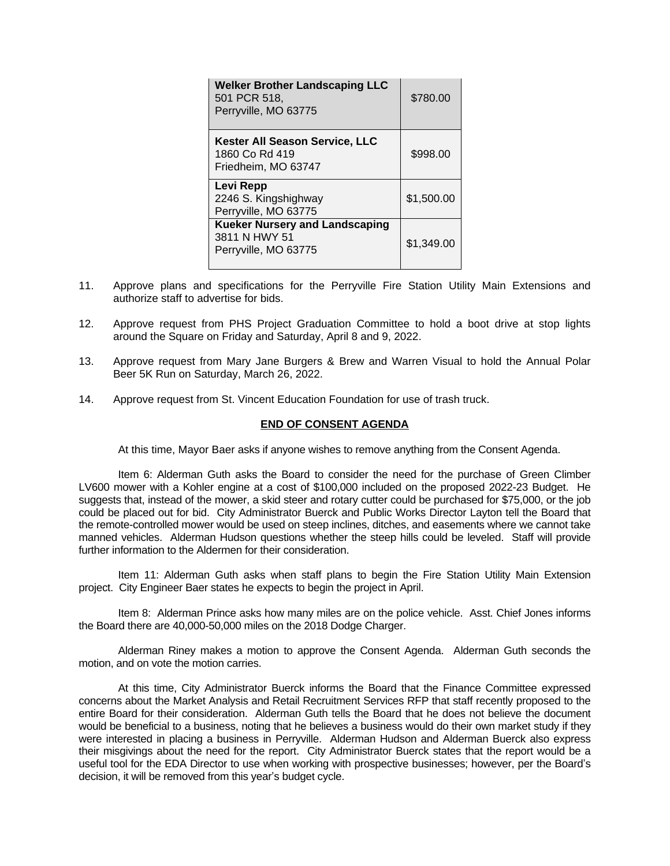| <b>Welker Brother Landscaping LLC</b><br>501 PCR 518,<br>Perryville, MO 63775  | \$780.00   |
|--------------------------------------------------------------------------------|------------|
| <b>Kester All Season Service, LLC</b><br>1860 Co Rd 419<br>Friedheim, MO 63747 | \$998.00   |
| Levi Repp<br>2246 S. Kingshighway<br>Perryville, MO 63775                      | \$1,500.00 |
| <b>Kueker Nursery and Landscaping</b><br>3811 N HWY 51<br>Perryville, MO 63775 | \$1,349.00 |

- 11. Approve plans and specifications for the Perryville Fire Station Utility Main Extensions and authorize staff to advertise for bids.
- 12. Approve request from PHS Project Graduation Committee to hold a boot drive at stop lights around the Square on Friday and Saturday, April 8 and 9, 2022.
- 13. Approve request from Mary Jane Burgers & Brew and Warren Visual to hold the Annual Polar Beer 5K Run on Saturday, March 26, 2022.
- 14. Approve request from St. Vincent Education Foundation for use of trash truck.

# **END OF CONSENT AGENDA**

At this time, Mayor Baer asks if anyone wishes to remove anything from the Consent Agenda.

Item 6: Alderman Guth asks the Board to consider the need for the purchase of Green Climber LV600 mower with a Kohler engine at a cost of \$100,000 included on the proposed 2022-23 Budget. He suggests that, instead of the mower, a skid steer and rotary cutter could be purchased for \$75,000, or the job could be placed out for bid. City Administrator Buerck and Public Works Director Layton tell the Board that the remote-controlled mower would be used on steep inclines, ditches, and easements where we cannot take manned vehicles. Alderman Hudson questions whether the steep hills could be leveled. Staff will provide further information to the Aldermen for their consideration.

Item 11: Alderman Guth asks when staff plans to begin the Fire Station Utility Main Extension project. City Engineer Baer states he expects to begin the project in April.

Item 8: Alderman Prince asks how many miles are on the police vehicle. Asst. Chief Jones informs the Board there are 40,000-50,000 miles on the 2018 Dodge Charger.

Alderman Riney makes a motion to approve the Consent Agenda. Alderman Guth seconds the motion, and on vote the motion carries.

At this time, City Administrator Buerck informs the Board that the Finance Committee expressed concerns about the Market Analysis and Retail Recruitment Services RFP that staff recently proposed to the entire Board for their consideration. Alderman Guth tells the Board that he does not believe the document would be beneficial to a business, noting that he believes a business would do their own market study if they were interested in placing a business in Perryville. Alderman Hudson and Alderman Buerck also express their misgivings about the need for the report. City Administrator Buerck states that the report would be a useful tool for the EDA Director to use when working with prospective businesses; however, per the Board's decision, it will be removed from this year's budget cycle.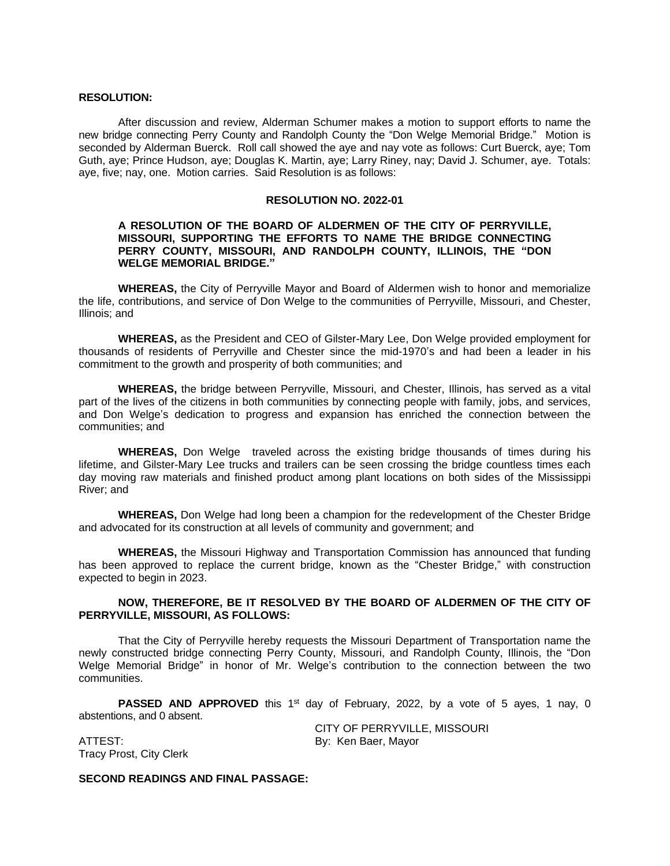# **RESOLUTION:**

After discussion and review, Alderman Schumer makes a motion to support efforts to name the new bridge connecting Perry County and Randolph County the "Don Welge Memorial Bridge." Motion is seconded by Alderman Buerck. Roll call showed the aye and nay vote as follows: Curt Buerck, aye; Tom Guth, aye; Prince Hudson, aye; Douglas K. Martin, aye; Larry Riney, nay; David J. Schumer, aye. Totals: aye, five; nay, one. Motion carries. Said Resolution is as follows:

## **RESOLUTION NO. 2022-01**

# **A RESOLUTION OF THE BOARD OF ALDERMEN OF THE CITY OF PERRYVILLE, MISSOURI, SUPPORTING THE EFFORTS TO NAME THE BRIDGE CONNECTING PERRY COUNTY, MISSOURI, AND RANDOLPH COUNTY, ILLINOIS, THE "DON WELGE MEMORIAL BRIDGE."**

**WHEREAS,** the City of Perryville Mayor and Board of Aldermen wish to honor and memorialize the life, contributions, and service of Don Welge to the communities of Perryville, Missouri, and Chester, Illinois; and

**WHEREAS,** as the President and CEO of Gilster-Mary Lee, Don Welge provided employment for thousands of residents of Perryville and Chester since the mid-1970's and had been a leader in his commitment to the growth and prosperity of both communities; and

**WHEREAS,** the bridge between Perryville, Missouri, and Chester, Illinois, has served as a vital part of the lives of the citizens in both communities by connecting people with family, jobs, and services, and Don Welge's dedication to progress and expansion has enriched the connection between the communities; and

**WHEREAS,** Don Welge traveled across the existing bridge thousands of times during his lifetime, and Gilster-Mary Lee trucks and trailers can be seen crossing the bridge countless times each day moving raw materials and finished product among plant locations on both sides of the Mississippi River; and

**WHEREAS,** Don Welge had long been a champion for the redevelopment of the Chester Bridge and advocated for its construction at all levels of community and government; and

**WHEREAS,** the Missouri Highway and Transportation Commission has announced that funding has been approved to replace the current bridge, known as the "Chester Bridge," with construction expected to begin in 2023.

# **NOW, THEREFORE, BE IT RESOLVED BY THE BOARD OF ALDERMEN OF THE CITY OF PERRYVILLE, MISSOURI, AS FOLLOWS:**

That the City of Perryville hereby requests the Missouri Department of Transportation name the newly constructed bridge connecting Perry County, Missouri, and Randolph County, Illinois, the "Don Welge Memorial Bridge" in honor of Mr. Welge's contribution to the connection between the two communities.

**PASSED AND APPROVED** this 1<sup>st</sup> day of February, 2022, by a vote of 5 ayes, 1 nay, 0 abstentions, and 0 absent.

CITY OF PERRYVILLE, MISSOURI

ATTEST: By: Ken Baer, Mayor Tracy Prost, City Clerk

# **SECOND READINGS AND FINAL PASSAGE:**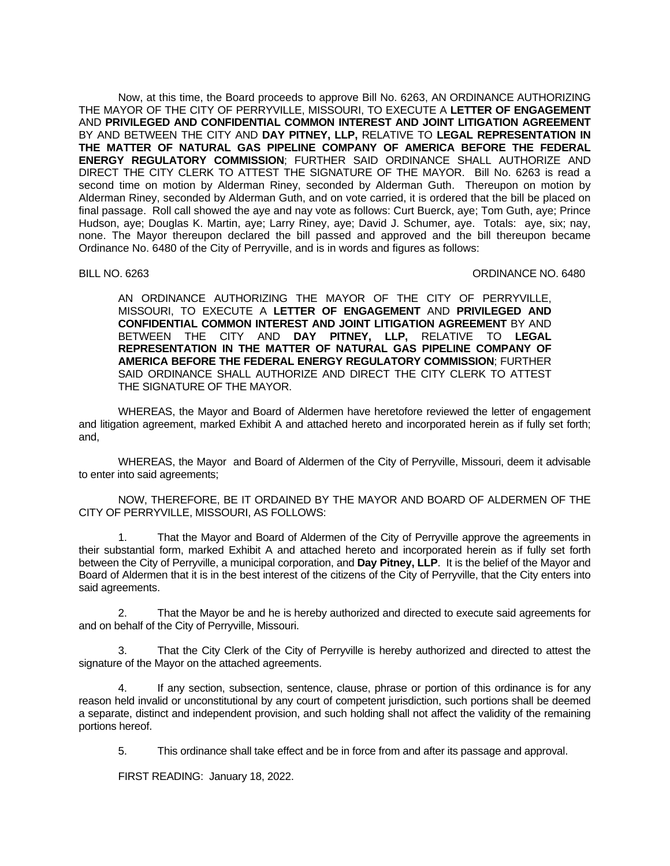Now, at this time, the Board proceeds to approve Bill No. 6263, AN ORDINANCE AUTHORIZING THE MAYOR OF THE CITY OF PERRYVILLE, MISSOURI, TO EXECUTE A **LETTER OF ENGAGEMENT** AND **PRIVILEGED AND CONFIDENTIAL COMMON INTEREST AND JOINT LITIGATION AGREEMENT** BY AND BETWEEN THE CITY AND **DAY PITNEY, LLP,** RELATIVE TO **LEGAL REPRESENTATION IN THE MATTER OF NATURAL GAS PIPELINE COMPANY OF AMERICA BEFORE THE FEDERAL ENERGY REGULATORY COMMISSION**; FURTHER SAID ORDINANCE SHALL AUTHORIZE AND DIRECT THE CITY CLERK TO ATTEST THE SIGNATURE OF THE MAYOR. Bill No. 6263 is read a second time on motion by Alderman Riney, seconded by Alderman Guth. Thereupon on motion by Alderman Riney, seconded by Alderman Guth, and on vote carried, it is ordered that the bill be placed on final passage. Roll call showed the aye and nay vote as follows: Curt Buerck, aye; Tom Guth, aye; Prince Hudson, aye; Douglas K. Martin, aye; Larry Riney, aye; David J. Schumer, aye. Totals: aye, six; nay, none. The Mayor thereupon declared the bill passed and approved and the bill thereupon became Ordinance No. 6480 of the City of Perryville, and is in words and figures as follows:

## BILL NO. 6263 **ORDINANCE NO. 6480**

AN ORDINANCE AUTHORIZING THE MAYOR OF THE CITY OF PERRYVILLE, MISSOURI, TO EXECUTE A **LETTER OF ENGAGEMENT** AND **PRIVILEGED AND CONFIDENTIAL COMMON INTEREST AND JOINT LITIGATION AGREEMENT** BY AND BETWEEN THE CITY AND **DAY PITNEY, LLP,** RELATIVE TO **LEGAL REPRESENTATION IN THE MATTER OF NATURAL GAS PIPELINE COMPANY OF AMERICA BEFORE THE FEDERAL ENERGY REGULATORY COMMISSION**; FURTHER SAID ORDINANCE SHALL AUTHORIZE AND DIRECT THE CITY CLERK TO ATTEST THE SIGNATURE OF THE MAYOR.

WHEREAS, the Mayor and Board of Aldermen have heretofore reviewed the letter of engagement and litigation agreement, marked Exhibit A and attached hereto and incorporated herein as if fully set forth; and,

WHEREAS, the Mayor and Board of Aldermen of the City of Perryville, Missouri, deem it advisable to enter into said agreements;

NOW, THEREFORE, BE IT ORDAINED BY THE MAYOR AND BOARD OF ALDERMEN OF THE CITY OF PERRYVILLE, MISSOURI, AS FOLLOWS:

1. That the Mayor and Board of Aldermen of the City of Perryville approve the agreements in their substantial form, marked Exhibit A and attached hereto and incorporated herein as if fully set forth between the City of Perryville, a municipal corporation, and **Day Pitney, LLP**. It is the belief of the Mayor and Board of Aldermen that it is in the best interest of the citizens of the City of Perryville, that the City enters into said agreements.

2. That the Mayor be and he is hereby authorized and directed to execute said agreements for and on behalf of the City of Perryville, Missouri.

3. That the City Clerk of the City of Perryville is hereby authorized and directed to attest the signature of the Mayor on the attached agreements.

If any section, subsection, sentence, clause, phrase or portion of this ordinance is for any reason held invalid or unconstitutional by any court of competent jurisdiction, such portions shall be deemed a separate, distinct and independent provision, and such holding shall not affect the validity of the remaining portions hereof.

5. This ordinance shall take effect and be in force from and after its passage and approval.

FIRST READING: January 18, 2022.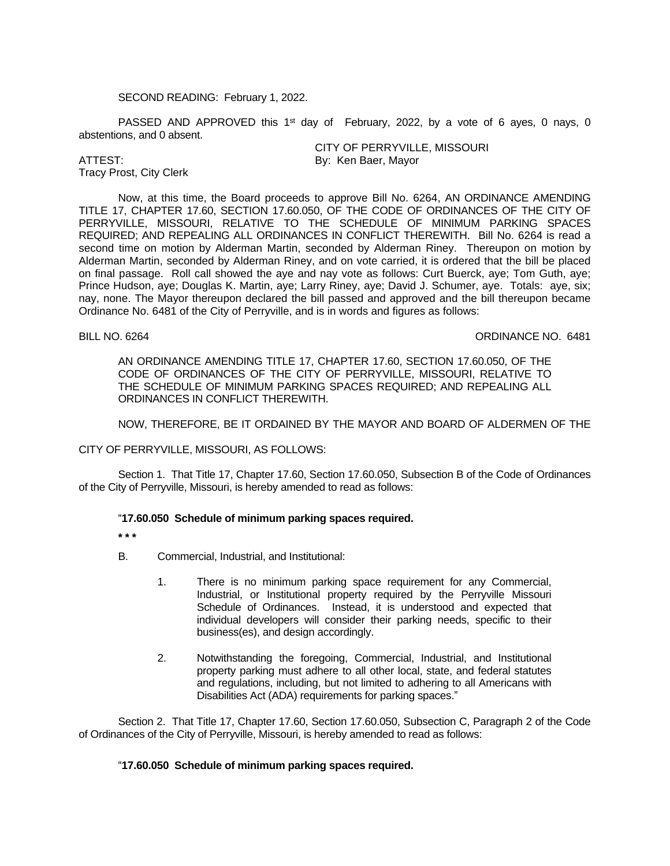# SECOND READING: February 1, 2022.

PASSED AND APPROVED this 1<sup>st</sup> day of February, 2022, by a vote of 6 ayes, 0 nays, 0 abstentions, and 0 absent.

Tracy Prost, City Clerk

CITY OF PERRYVILLE, MISSOURI ATTEST: By: Ken Baer, Mayor

Now, at this time, the Board proceeds to approve Bill No. 6264, AN ORDINANCE AMENDING TITLE 17, CHAPTER 17.60, SECTION 17.60.050, OF THE CODE OF ORDINANCES OF THE CITY OF PERRYVILLE, MISSOURI, RELATIVE TO THE SCHEDULE OF MINIMUM PARKING SPACES REQUIRED; AND REPEALING ALL ORDINANCES IN CONFLICT THEREWITH. Bill No. 6264 is read a second time on motion by Alderman Martin, seconded by Alderman Riney. Thereupon on motion by Alderman Martin, seconded by Alderman Riney, and on vote carried, it is ordered that the bill be placed on final passage. Roll call showed the aye and nay vote as follows: Curt Buerck, aye; Tom Guth, aye; Prince Hudson, aye; Douglas K. Martin, aye; Larry Riney, aye; David J. Schumer, aye. Totals: aye, six; nay, none. The Mayor thereupon declared the bill passed and approved and the bill thereupon became Ordinance No. 6481 of the City of Perryville, and is in words and figures as follows:

BILL NO. 6264 **ORDINANCE NO.** 6481

AN ORDINANCE AMENDING TITLE 17, CHAPTER 17.60, SECTION 17.60.050, OF THE CODE OF ORDINANCES OF THE CITY OF PERRYVILLE, MISSOURI, RELATIVE TO THE SCHEDULE OF MINIMUM PARKING SPACES REQUIRED; AND REPEALING ALL ORDINANCES IN CONFLICT THEREWITH.

NOW, THEREFORE, BE IT ORDAINED BY THE MAYOR AND BOARD OF ALDERMEN OF THE

CITY OF PERRYVILLE, MISSOURI, AS FOLLOWS:

Section 1. That Title 17, Chapter 17.60, Section 17.60.050, Subsection B of the Code of Ordinances of the City of Perryville, Missouri, is hereby amended to read as follows:

# "**17.60.050 Schedule of minimum parking spaces required.**

**\* \* \***

- B. Commercial, Industrial, and Institutional:
	- 1. There is no minimum parking space requirement for any Commercial, Industrial, or Institutional property required by the Perryville Missouri Schedule of Ordinances. Instead, it is understood and expected that individual developers will consider their parking needs, specific to their business(es), and design accordingly.
	- 2. Notwithstanding the foregoing, Commercial, Industrial, and Institutional property parking must adhere to all other local, state, and federal statutes and regulations, including, but not limited to adhering to all Americans with Disabilities Act (ADA) requirements for parking spaces."

Section 2. That Title 17, Chapter 17.60, Section 17.60.050, Subsection C, Paragraph 2 of the Code of Ordinances of the City of Perryville, Missouri, is hereby amended to read as follows:

# "**17.60.050 Schedule of minimum parking spaces required.**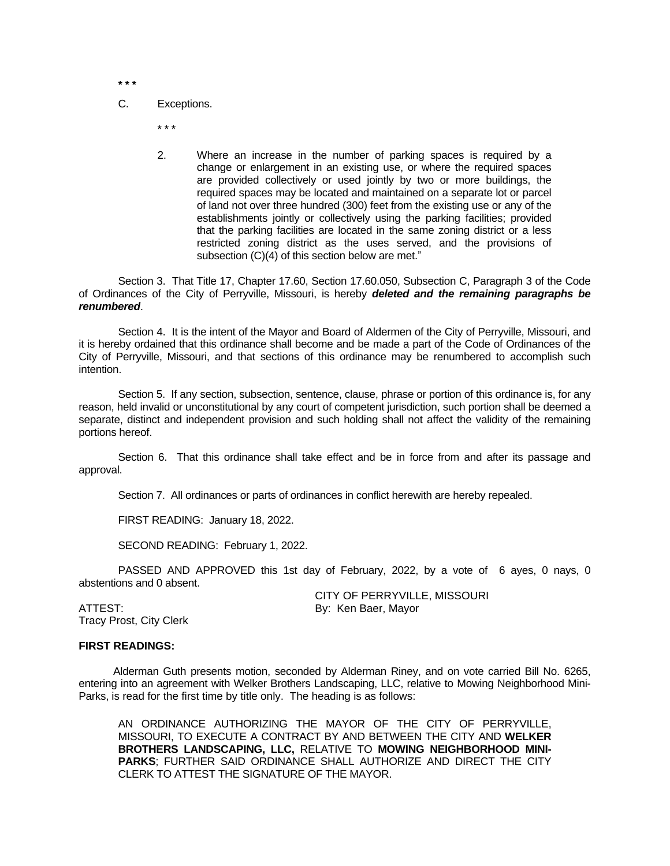**\* \* \***

C. Exceptions.

\* \* \*

2. Where an increase in the number of parking spaces is required by a change or enlargement in an existing use, or where the required spaces are provided collectively or used jointly by two or more buildings, the required spaces may be located and maintained on a separate lot or parcel of land not over three hundred (300) feet from the existing use or any of the establishments jointly or collectively using the parking facilities; provided that the parking facilities are located in the same zoning district or a less restricted zoning district as the uses served, and the provisions of subsection (C)(4) of this section below are met."

Section 3. That Title 17, Chapter 17.60, Section 17.60.050, Subsection C, Paragraph 3 of the Code of Ordinances of the City of Perryville, Missouri, is hereby *deleted and the remaining paragraphs be renumbered*.

Section 4. It is the intent of the Mayor and Board of Aldermen of the City of Perryville, Missouri, and it is hereby ordained that this ordinance shall become and be made a part of the Code of Ordinances of the City of Perryville, Missouri, and that sections of this ordinance may be renumbered to accomplish such intention.

Section 5. If any section, subsection, sentence, clause, phrase or portion of this ordinance is, for any reason, held invalid or unconstitutional by any court of competent jurisdiction, such portion shall be deemed a separate, distinct and independent provision and such holding shall not affect the validity of the remaining portions hereof.

Section 6. That this ordinance shall take effect and be in force from and after its passage and approval.

Section 7. All ordinances or parts of ordinances in conflict herewith are hereby repealed.

FIRST READING: January 18, 2022.

SECOND READING: February 1, 2022.

PASSED AND APPROVED this 1st day of February, 2022, by a vote of 6 ayes, 0 nays, 0 abstentions and 0 absent.

Tracy Prost, City Clerk

CITY OF PERRYVILLE, MISSOURI ATTEST: By: Ken Baer, Mayor

# **FIRST READINGS:**

Alderman Guth presents motion, seconded by Alderman Riney, and on vote carried Bill No. 6265, entering into an agreement with Welker Brothers Landscaping, LLC, relative to Mowing Neighborhood Mini-Parks, is read for the first time by title only. The heading is as follows:

AN ORDINANCE AUTHORIZING THE MAYOR OF THE CITY OF PERRYVILLE, MISSOURI, TO EXECUTE A CONTRACT BY AND BETWEEN THE CITY AND **WELKER BROTHERS LANDSCAPING, LLC,** RELATIVE TO **MOWING NEIGHBORHOOD MINI-PARKS**; FURTHER SAID ORDINANCE SHALL AUTHORIZE AND DIRECT THE CITY CLERK TO ATTEST THE SIGNATURE OF THE MAYOR.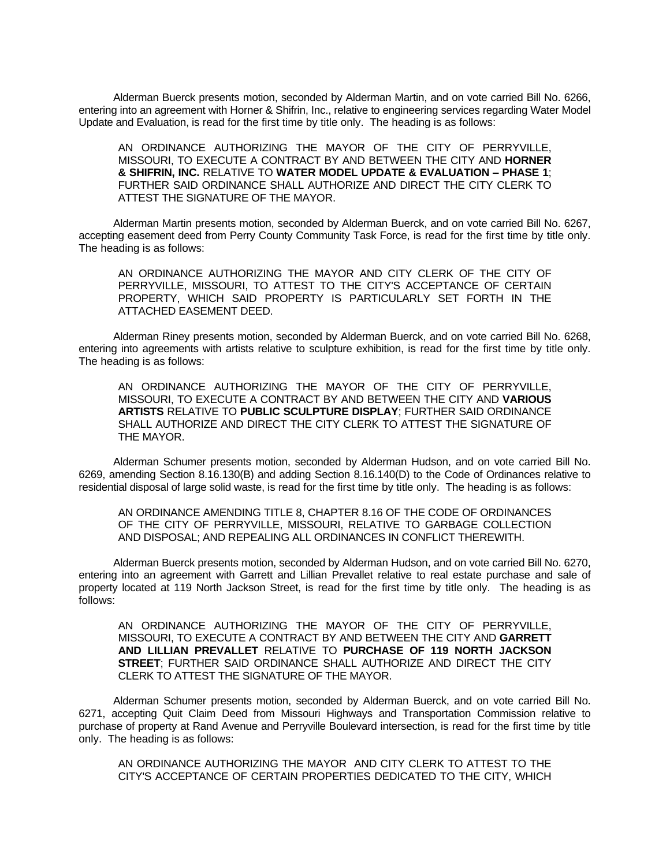Alderman Buerck presents motion, seconded by Alderman Martin, and on vote carried Bill No. 6266, entering into an agreement with Horner & Shifrin, Inc., relative to engineering services regarding Water Model Update and Evaluation, is read for the first time by title only. The heading is as follows:

AN ORDINANCE AUTHORIZING THE MAYOR OF THE CITY OF PERRYVILLE, MISSOURI, TO EXECUTE A CONTRACT BY AND BETWEEN THE CITY AND **HORNER & SHIFRIN, INC.** RELATIVE TO **WATER MODEL UPDATE & EVALUATION – PHASE 1**; FURTHER SAID ORDINANCE SHALL AUTHORIZE AND DIRECT THE CITY CLERK TO ATTEST THE SIGNATURE OF THE MAYOR.

Alderman Martin presents motion, seconded by Alderman Buerck, and on vote carried Bill No. 6267, accepting easement deed from Perry County Community Task Force, is read for the first time by title only. The heading is as follows:

AN ORDINANCE AUTHORIZING THE MAYOR AND CITY CLERK OF THE CITY OF PERRYVILLE, MISSOURI, TO ATTEST TO THE CITY'S ACCEPTANCE OF CERTAIN PROPERTY, WHICH SAID PROPERTY IS PARTICULARLY SET FORTH IN THE ATTACHED EASEMENT DEED.

Alderman Riney presents motion, seconded by Alderman Buerck, and on vote carried Bill No. 6268, entering into agreements with artists relative to sculpture exhibition, is read for the first time by title only. The heading is as follows:

AN ORDINANCE AUTHORIZING THE MAYOR OF THE CITY OF PERRYVILLE, MISSOURI, TO EXECUTE A CONTRACT BY AND BETWEEN THE CITY AND **VARIOUS ARTISTS** RELATIVE TO **PUBLIC SCULPTURE DISPLAY**; FURTHER SAID ORDINANCE SHALL AUTHORIZE AND DIRECT THE CITY CLERK TO ATTEST THE SIGNATURE OF THE MAYOR.

Alderman Schumer presents motion, seconded by Alderman Hudson, and on vote carried Bill No. 6269, amending Section 8.16.130(B) and adding Section 8.16.140(D) to the Code of Ordinances relative to residential disposal of large solid waste, is read for the first time by title only. The heading is as follows:

AN ORDINANCE AMENDING TITLE 8, CHAPTER 8.16 OF THE CODE OF ORDINANCES OF THE CITY OF PERRYVILLE, MISSOURI, RELATIVE TO GARBAGE COLLECTION AND DISPOSAL; AND REPEALING ALL ORDINANCES IN CONFLICT THEREWITH.

Alderman Buerck presents motion, seconded by Alderman Hudson, and on vote carried Bill No. 6270, entering into an agreement with Garrett and Lillian Prevallet relative to real estate purchase and sale of property located at 119 North Jackson Street, is read for the first time by title only. The heading is as follows:

AN ORDINANCE AUTHORIZING THE MAYOR OF THE CITY OF PERRYVILLE, MISSOURI, TO EXECUTE A CONTRACT BY AND BETWEEN THE CITY AND **GARRETT AND LILLIAN PREVALLET** RELATIVE TO **PURCHASE OF 119 NORTH JACKSON STREET**; FURTHER SAID ORDINANCE SHALL AUTHORIZE AND DIRECT THE CITY CLERK TO ATTEST THE SIGNATURE OF THE MAYOR.

Alderman Schumer presents motion, seconded by Alderman Buerck, and on vote carried Bill No. 6271, accepting Quit Claim Deed from Missouri Highways and Transportation Commission relative to purchase of property at Rand Avenue and Perryville Boulevard intersection, is read for the first time by title only. The heading is as follows:

AN ORDINANCE AUTHORIZING THE MAYOR AND CITY CLERK TO ATTEST TO THE CITY'S ACCEPTANCE OF CERTAIN PROPERTIES DEDICATED TO THE CITY, WHICH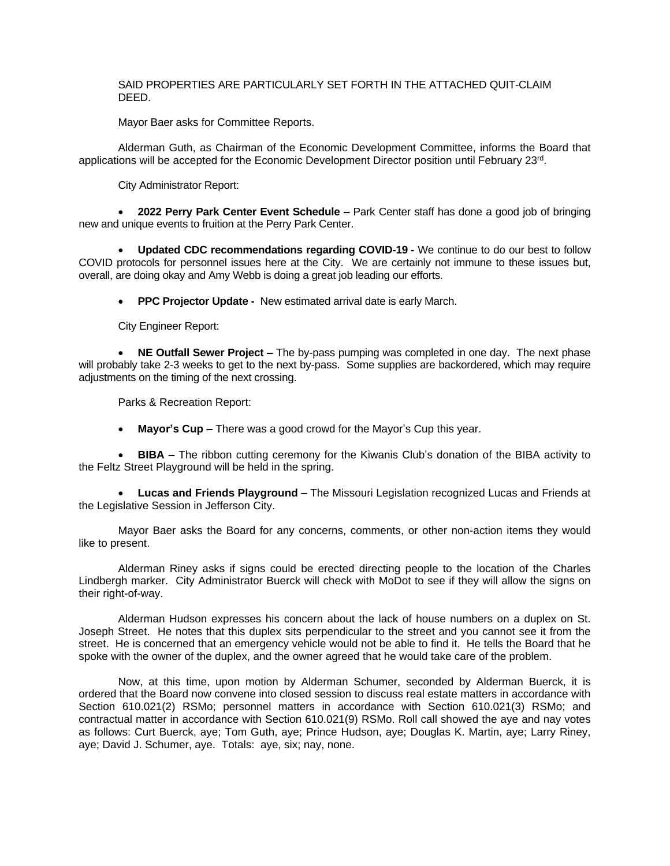# SAID PROPERTIES ARE PARTICULARLY SET FORTH IN THE ATTACHED QUIT-CLAIM DEED.

Mayor Baer asks for Committee Reports.

Alderman Guth, as Chairman of the Economic Development Committee, informs the Board that applications will be accepted for the Economic Development Director position until February 23<sup>rd</sup>.

City Administrator Report:

 **2022 Perry Park Center Event Schedule –** Park Center staff has done a good job of bringing new and unique events to fruition at the Perry Park Center.

 **Updated CDC recommendations regarding COVID-19 -** We continue to do our best to follow COVID protocols for personnel issues here at the City. We are certainly not immune to these issues but, overall, are doing okay and Amy Webb is doing a great job leading our efforts.

**PPC Projector Update -** New estimated arrival date is early March.

City Engineer Report:

 **NE Outfall Sewer Project –** The by-pass pumping was completed in one day. The next phase will probably take 2-3 weeks to get to the next by-pass. Some supplies are backordered, which may require adjustments on the timing of the next crossing.

Parks & Recreation Report:

**Mayor's Cup –** There was a good crowd for the Mayor's Cup this year.

 **BIBA –** The ribbon cutting ceremony for the Kiwanis Club's donation of the BIBA activity to the Feltz Street Playground will be held in the spring.

 **Lucas and Friends Playground –** The Missouri Legislation recognized Lucas and Friends at the Legislative Session in Jefferson City.

Mayor Baer asks the Board for any concerns, comments, or other non-action items they would like to present.

Alderman Riney asks if signs could be erected directing people to the location of the Charles Lindbergh marker. City Administrator Buerck will check with MoDot to see if they will allow the signs on their right-of-way.

Alderman Hudson expresses his concern about the lack of house numbers on a duplex on St. Joseph Street. He notes that this duplex sits perpendicular to the street and you cannot see it from the street. He is concerned that an emergency vehicle would not be able to find it. He tells the Board that he spoke with the owner of the duplex, and the owner agreed that he would take care of the problem.

Now, at this time, upon motion by Alderman Schumer, seconded by Alderman Buerck, it is ordered that the Board now convene into closed session to discuss real estate matters in accordance with Section 610.021(2) RSMo; personnel matters in accordance with Section 610.021(3) RSMo; and contractual matter in accordance with Section 610.021(9) RSMo. Roll call showed the aye and nay votes as follows: Curt Buerck, aye; Tom Guth, aye; Prince Hudson, aye; Douglas K. Martin, aye; Larry Riney, aye; David J. Schumer, aye. Totals: aye, six; nay, none.